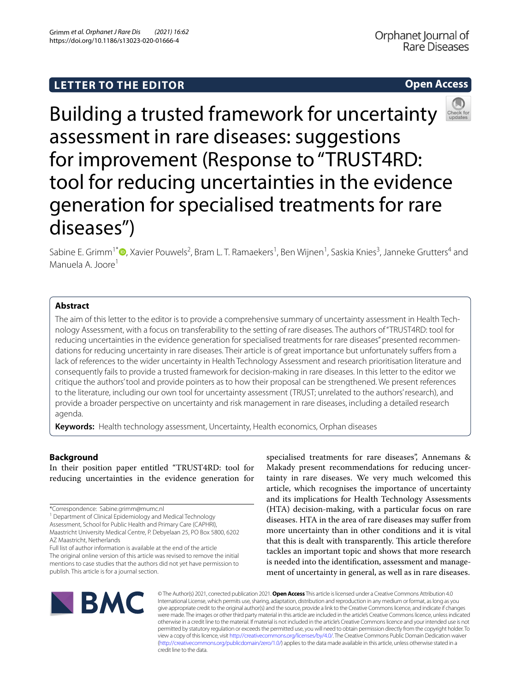# **LETTER TO THE EDITOR**

**Open Access**



Sabine E. Grimm<sup>1\*</sup>®[,](http://orcid.org/0000-0002-2175-7999) Xavier Pouwels<sup>2</sup>, Bram L. T. Ramaekers<sup>1</sup>, Ben Wijnen<sup>1</sup>, Saskia Knies<sup>3</sup>, Janneke Grutters<sup>4</sup> and Manuela A. Joore<sup>1</sup>

# **Abstract**

The aim of this letter to the editor is to provide a comprehensive summary of uncertainty assessment in Health Technology Assessment, with a focus on transferability to the setting of rare diseases. The authors of "TRUST4RD: tool for reducing uncertainties in the evidence generation for specialised treatments for rare diseases" presented recommendations for reducing uncertainty in rare diseases. Their article is of great importance but unfortunately sufers from a lack of references to the wider uncertainty in Health Technology Assessment and research prioritisation literature and consequently fails to provide a trusted framework for decision-making in rare diseases. In this letter to the editor we critique the authors' tool and provide pointers as to how their proposal can be strengthened. We present references to the literature, including our own tool for uncertainty assessment (TRUST; unrelated to the authors' research), and provide a broader perspective on uncertainty and risk management in rare diseases, including a detailed research agenda.

**Keywords:** Health technology assessment, Uncertainty, Health economics, Orphan diseases

# **Background**

In their position paper entitled "TRUST4RD: tool for reducing uncertainties in the evidence generation for

specialised treatments for rare diseases", Annemans & Makady present recommendations for reducing uncertainty in rare diseases. We very much welcomed this article, which recognises the importance of uncertainty and its implications for Health Technology Assessments (HTA) decision-making, with a particular focus on rare diseases. HTA in the area of rare diseases may sufer from more uncertainty than in other conditions and it is vital that this is dealt with transparently. This article therefore tackles an important topic and shows that more research is needed into the identifcation, assessment and management of uncertainty in general, as well as in rare diseases.



© The Author(s) 2021, corrected publication 2021. **Open Access** This article is licensed under a Creative Commons Attribution 4.0 International License, which permits use, sharing, adaptation, distribution and reproduction in any medium or format, as long as you give appropriate credit to the original author(s) and the source, provide a link to the Creative Commons licence, and indicate if changes were made. The images or other third party material in this article are included in the article's Creative Commons licence, unless indicated otherwise in a credit line to the material. If material is not included in the article's Creative Commons licence and your intended use is not permitted by statutory regulation or exceeds the permitted use, you will need to obtain permission directly from the copyright holder. To view a copy of this licence, visit [http://creativecommons.org/licenses/by/4.0/.](http://creativecommons.org/licenses/by/4.0/) The Creative Commons Public Domain Dedication waiver [\(http://creativecommons.org/publicdomain/zero/1.0/\)](http://creativecommons.org/publicdomain/zero/1.0/) applies to the data made available in this article, unless otherwise stated in a credit line to the data.

<sup>\*</sup>Correspondence: Sabine.grimm@mumc.nl

<sup>&</sup>lt;sup>1</sup> Department of Clinical Epidemiology and Medical Technology

Assessment, School for Public Health and Primary Care (CAPHRI),

Maastricht University Medical Centre, P. Debyelaan 25, PO Box 5800, 6202 AZ Maastricht, Netherlands Full list of author information is available at the end of the article

The original online version of this article was revised to remove the initial mentions to case studies that the authors did not yet have permission to publish. This article is for a journal section.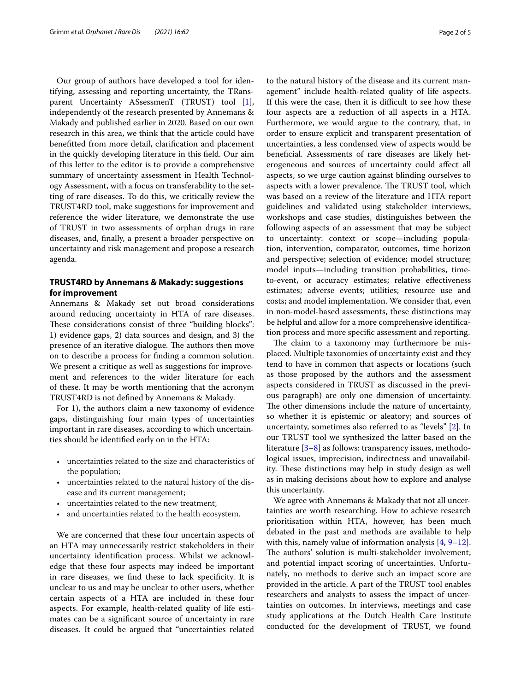Our group of authors have developed a tool for identifying, assessing and reporting uncertainty, the TRansparent Uncertainty ASsessmenT (TRUST) tool [\[1](#page-4-0)], independently of the research presented by Annemans & Makady and published earlier in 2020. Based on our own research in this area, we think that the article could have beneftted from more detail, clarifcation and placement in the quickly developing literature in this feld. Our aim of this letter to the editor is to provide a comprehensive summary of uncertainty assessment in Health Technology Assessment, with a focus on transferability to the setting of rare diseases. To do this, we critically review the TRUST4RD tool, make suggestions for improvement and reference the wider literature, we demonstrate the use of TRUST in two assessments of orphan drugs in rare diseases, and, fnally, a present a broader perspective on uncertainty and risk management and propose a research agenda.

# **TRUST4RD by Annemans & Makady: suggestions for improvement**

Annemans & Makady set out broad considerations around reducing uncertainty in HTA of rare diseases. These considerations consist of three "building blocks": 1) evidence gaps, 2) data sources and design, and 3) the presence of an iterative dialogue. The authors then move on to describe a process for fnding a common solution. We present a critique as well as suggestions for improvement and references to the wider literature for each of these. It may be worth mentioning that the acronym TRUST4RD is not defned by Annemans & Makady.

For 1), the authors claim a new taxonomy of evidence gaps, distinguishing four main types of uncertainties important in rare diseases, according to which uncertainties should be identifed early on in the HTA:

- uncertainties related to the size and characteristics of the population;
- uncertainties related to the natural history of the disease and its current management;
- uncertainties related to the new treatment;
- and uncertainties related to the health ecosystem.

We are concerned that these four uncertain aspects of an HTA may unnecessarily restrict stakeholders in their uncertainty identifcation process. Whilst we acknowledge that these four aspects may indeed be important in rare diseases, we fnd these to lack specifcity. It is unclear to us and may be unclear to other users, whether certain aspects of a HTA are included in these four aspects. For example, health-related quality of life estimates can be a signifcant source of uncertainty in rare diseases. It could be argued that "uncertainties related to the natural history of the disease and its current management" include health-related quality of life aspects. If this were the case, then it is difficult to see how these four aspects are a reduction of all aspects in a HTA. Furthermore, we would argue to the contrary, that, in order to ensure explicit and transparent presentation of uncertainties, a less condensed view of aspects would be benefcial. Assessments of rare diseases are likely heterogeneous and sources of uncertainty could afect all aspects, so we urge caution against blinding ourselves to aspects with a lower prevalence. The TRUST tool, which was based on a review of the literature and HTA report guidelines and validated using stakeholder interviews, workshops and case studies, distinguishes between the following aspects of an assessment that may be subject to uncertainty: context or scope—including population, intervention, comparator, outcomes, time horizon and perspective; selection of evidence; model structure; model inputs—including transition probabilities, timeto-event, or accuracy estimates; relative efectiveness estimates; adverse events; utilities; resource use and costs; and model implementation. We consider that, even in non-model-based assessments, these distinctions may be helpful and allow for a more comprehensive identifcation process and more specifc assessment and reporting.

The claim to a taxonomy may furthermore be misplaced. Multiple taxonomies of uncertainty exist and they tend to have in common that aspects or locations (such as those proposed by the authors and the assessment aspects considered in TRUST as discussed in the previous paragraph) are only one dimension of uncertainty. The other dimensions include the nature of uncertainty, so whether it is epistemic or aleatory; and sources of uncertainty, sometimes also referred to as "levels" [[2\]](#page-4-1). In our TRUST tool we synthesized the latter based on the literature [[3–](#page-4-2)[8\]](#page-4-3) as follows: transparency issues, methodological issues, imprecision, indirectness and unavailability. These distinctions may help in study design as well as in making decisions about how to explore and analyse this uncertainty.

We agree with Annemans & Makady that not all uncertainties are worth researching. How to achieve research prioritisation within HTA, however, has been much debated in the past and methods are available to help with this, namely value of information analysis  $[4, 9-12]$  $[4, 9-12]$  $[4, 9-12]$  $[4, 9-12]$ . The authors' solution is multi-stakeholder involvement; and potential impact scoring of uncertainties. Unfortunately, no methods to derive such an impact score are provided in the article. A part of the TRUST tool enables researchers and analysts to assess the impact of uncertainties on outcomes. In interviews, meetings and case study applications at the Dutch Health Care Institute conducted for the development of TRUST, we found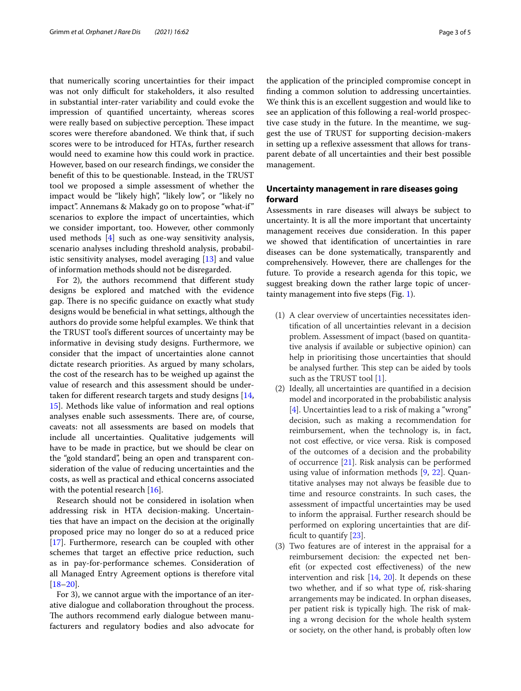that numerically scoring uncertainties for their impact was not only difficult for stakeholders, it also resulted in substantial inter-rater variability and could evoke the impression of quantifed uncertainty, whereas scores were really based on subjective perception. These impact scores were therefore abandoned. We think that, if such scores were to be introduced for HTAs, further research would need to examine how this could work in practice. However, based on our research fndings, we consider the beneft of this to be questionable. Instead, in the TRUST tool we proposed a simple assessment of whether the impact would be "likely high", "likely low", or "likely no impact". Annemans & Makady go on to propose "what-if" scenarios to explore the impact of uncertainties, which we consider important, too. However, other commonly used methods [\[4](#page-4-4)] such as one-way sensitivity analysis, scenario analyses including threshold analysis, probabilistic sensitivity analyses, model averaging [[13](#page-4-7)] and value of information methods should not be disregarded.

For 2), the authors recommend that diferent study designs be explored and matched with the evidence gap. There is no specific guidance on exactly what study designs would be benefcial in what settings, although the authors do provide some helpful examples. We think that the TRUST tool's diferent sources of uncertainty may be informative in devising study designs. Furthermore, we consider that the impact of uncertainties alone cannot dictate research priorities. As argued by many scholars, the cost of the research has to be weighed up against the value of research and this assessment should be undertaken for diferent research targets and study designs [\[14](#page-4-8), [15\]](#page-4-9). Methods like value of information and real options analyses enable such assessments. There are, of course, caveats: not all assessments are based on models that include all uncertainties. Qualitative judgements will have to be made in practice, but we should be clear on the "gold standard", being an open and transparent consideration of the value of reducing uncertainties and the costs, as well as practical and ethical concerns associated with the potential research [\[16](#page-4-10)].

Research should not be considered in isolation when addressing risk in HTA decision-making. Uncertainties that have an impact on the decision at the originally proposed price may no longer do so at a reduced price [[17\]](#page-4-11). Furthermore, research can be coupled with other schemes that target an efective price reduction, such as in pay-for-performance schemes. Consideration of all Managed Entry Agreement options is therefore vital  $[18–20]$  $[18–20]$  $[18–20]$  $[18–20]$ .

For 3), we cannot argue with the importance of an iterative dialogue and collaboration throughout the process. The authors recommend early dialogue between manufacturers and regulatory bodies and also advocate for the application of the principled compromise concept in fnding a common solution to addressing uncertainties. We think this is an excellent suggestion and would like to see an application of this following a real-world prospective case study in the future. In the meantime, we suggest the use of TRUST for supporting decision-makers in setting up a refexive assessment that allows for transparent debate of all uncertainties and their best possible management.

# **Uncertainty management in rare diseases going forward**

Assessments in rare diseases will always be subject to uncertainty. It is all the more important that uncertainty management receives due consideration. In this paper we showed that identifcation of uncertainties in rare diseases can be done systematically, transparently and comprehensively. However, there are challenges for the future. To provide a research agenda for this topic, we suggest breaking down the rather large topic of uncertainty management into fve steps (Fig. [1](#page-3-0)).

- (1) A clear overview of uncertainties necessitates identifcation of all uncertainties relevant in a decision problem. Assessment of impact (based on quantitative analysis if available or subjective opinion) can help in prioritising those uncertainties that should be analysed further. This step can be aided by tools such as the TRUST tool [[1\]](#page-4-0).
- (2) Ideally, all uncertainties are quantifed in a decision model and incorporated in the probabilistic analysis [[4\]](#page-4-4). Uncertainties lead to a risk of making a "wrong" decision, such as making a recommendation for reimbursement, when the technology is, in fact, not cost efective, or vice versa. Risk is composed of the outcomes of a decision and the probability of occurrence [\[21\]](#page-4-14). Risk analysis can be performed using value of information methods [[9,](#page-4-5) [22\]](#page-4-15). Quantitative analyses may not always be feasible due to time and resource constraints. In such cases, the assessment of impactful uncertainties may be used to inform the appraisal. Further research should be performed on exploring uncertainties that are diffcult to quantify [[23\]](#page-4-16).
- (3) Two features are of interest in the appraisal for a reimbursement decision: the expected net beneft (or expected cost efectiveness) of the new intervention and risk [[14](#page-4-8), [20](#page-4-13)]. It depends on these two whether, and if so what type of, risk-sharing arrangements may be indicated. In orphan diseases, per patient risk is typically high. The risk of making a wrong decision for the whole health system or society, on the other hand, is probably often low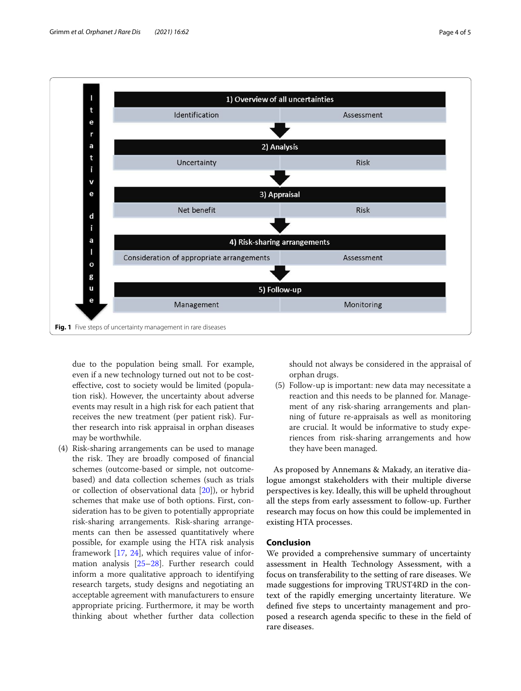

<span id="page-3-0"></span>due to the population being small. For example, even if a new technology turned out not to be costefective, cost to society would be limited (population risk). However, the uncertainty about adverse events may result in a high risk for each patient that receives the new treatment (per patient risk). Further research into risk appraisal in orphan diseases may be worthwhile.

(4) Risk-sharing arrangements can be used to manage the risk. They are broadly composed of financial schemes (outcome-based or simple, not outcomebased) and data collection schemes (such as trials or collection of observational data [[20](#page-4-13)]), or hybrid schemes that make use of both options. First, consideration has to be given to potentially appropriate risk-sharing arrangements. Risk-sharing arrangements can then be assessed quantitatively where possible, for example using the HTA risk analysis framework [\[17](#page-4-11), [24\]](#page-4-17), which requires value of information analysis [[25](#page-4-18)[–28\]](#page-4-19). Further research could inform a more qualitative approach to identifying research targets, study designs and negotiating an acceptable agreement with manufacturers to ensure appropriate pricing. Furthermore, it may be worth thinking about whether further data collection should not always be considered in the appraisal of orphan drugs.

(5) Follow-up is important: new data may necessitate a reaction and this needs to be planned for. Management of any risk-sharing arrangements and planning of future re-appraisals as well as monitoring are crucial. It would be informative to study experiences from risk-sharing arrangements and how they have been managed.

As proposed by Annemans & Makady, an iterative dialogue amongst stakeholders with their multiple diverse perspectives is key. Ideally, this will be upheld throughout all the steps from early assessment to follow-up. Further research may focus on how this could be implemented in existing HTA processes.

# **Conclusion**

We provided a comprehensive summary of uncertainty assessment in Health Technology Assessment, with a focus on transferability to the setting of rare diseases. We made suggestions for improving TRUST4RD in the context of the rapidly emerging uncertainty literature. We defned fve steps to uncertainty management and proposed a research agenda specifc to these in the feld of rare diseases.